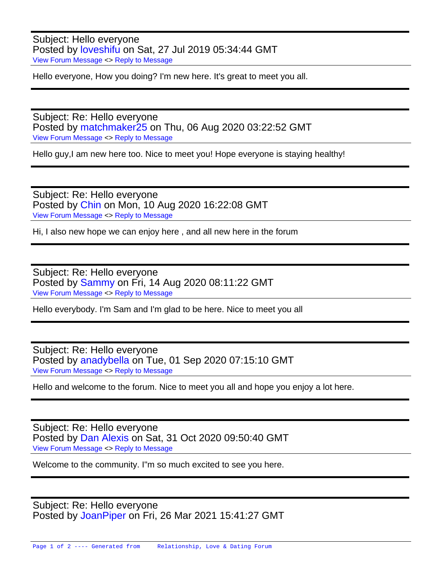Subject: Hello everyone Posted by [loveshifu](https://forum.livedating.me/index.php?t=usrinfo&id=3792) on Sat, 27 Jul 2019 05:34:44 GMT [View Forum Message](https://forum.livedating.me/index.php?t=rview&th=6246&goto=10146#msg_10146) <> [Reply to Message](https://forum.livedating.me/index.php?t=post&reply_to=10146)

Hello everyone, How you doing? I'm new here. It's great to meet you all.

Subject: Re: Hello everyone Posted by [matchmaker25](https://forum.livedating.me/index.php?t=usrinfo&id=3860) on Thu, 06 Aug 2020 03:22:52 GMT [View Forum Message](https://forum.livedating.me/index.php?t=rview&th=6246&goto=10258#msg_10258) <> [Reply to Message](https://forum.livedating.me/index.php?t=post&reply_to=10258)

Hello guy, I am new here too. Nice to meet you! Hope everyone is staying healthy!

Subject: Re: Hello everyone Posted by [Chin](https://forum.livedating.me/index.php?t=usrinfo&id=3965) on Mon, 10 Aug 2020 16:22:08 GMT [View Forum Message](https://forum.livedating.me/index.php?t=rview&th=6246&goto=10259#msg_10259) <> [Reply to Message](https://forum.livedating.me/index.php?t=post&reply_to=10259)

Hi, I also new hope we can enjoy here , and all new here in the forum

Subject: Re: Hello everyone Posted by [Sammy](https://forum.livedating.me/index.php?t=usrinfo&id=3969) on Fri, 14 Aug 2020 08:11:22 GMT [View Forum Message](https://forum.livedating.me/index.php?t=rview&th=6246&goto=10261#msg_10261) <> [Reply to Message](https://forum.livedating.me/index.php?t=post&reply_to=10261)

Hello everybody. I'm Sam and I'm glad to be here. Nice to meet you all

Subject: Re: Hello everyone Posted by [anadybella](https://forum.livedating.me/index.php?t=usrinfo&id=3935) on Tue, 01 Sep 2020 07:15:10 GMT [View Forum Message](https://forum.livedating.me/index.php?t=rview&th=6246&goto=10268#msg_10268) <> [Reply to Message](https://forum.livedating.me/index.php?t=post&reply_to=10268)

Hello and welcome to the forum. Nice to meet you all and hope you enjoy a lot here.

Subject: Re: Hello everyone Posted by [Dan Alexis](https://forum.livedating.me/index.php?t=usrinfo&id=4051) on Sat, 31 Oct 2020 09:50:40 GMT [View Forum Message](https://forum.livedating.me/index.php?t=rview&th=6246&goto=10308#msg_10308) <> [Reply to Message](https://forum.livedating.me/index.php?t=post&reply_to=10308)

Welcome to the community. I"m so much excited to see you here.

Subject: Re: Hello everyone Posted by [JoanPiper](https://forum.livedating.me/index.php?t=usrinfo&id=4153) on Fri, 26 Mar 2021 15:41:27 GMT